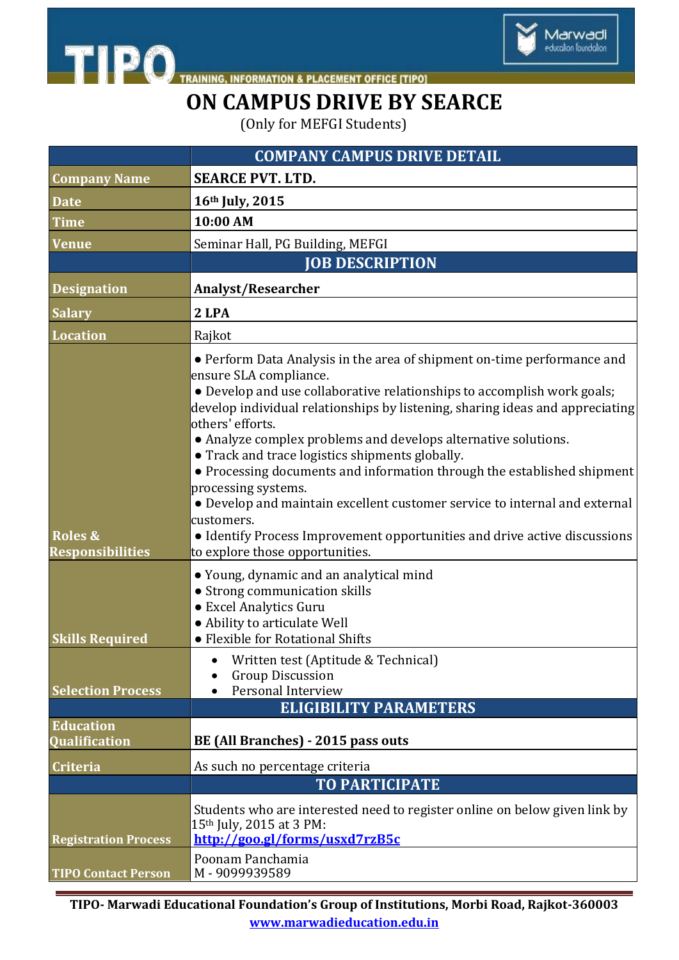

## **ON CAMPUS DRIVE BY SEARCE**

Marwadi<br>education foundation

(Only for MEFGI Students)

|                                               | <b>COMPANY CAMPUS DRIVE DETAIL</b>                                                                                                                                                                                                                                                                                                                                                                                                                                                                                                                                                                                                                                                                                                                                                                                                                         |
|-----------------------------------------------|------------------------------------------------------------------------------------------------------------------------------------------------------------------------------------------------------------------------------------------------------------------------------------------------------------------------------------------------------------------------------------------------------------------------------------------------------------------------------------------------------------------------------------------------------------------------------------------------------------------------------------------------------------------------------------------------------------------------------------------------------------------------------------------------------------------------------------------------------------|
| <b>Company Name</b>                           | <b>SEARCE PVT. LTD.</b>                                                                                                                                                                                                                                                                                                                                                                                                                                                                                                                                                                                                                                                                                                                                                                                                                                    |
| <b>Date</b>                                   | 16th July, 2015                                                                                                                                                                                                                                                                                                                                                                                                                                                                                                                                                                                                                                                                                                                                                                                                                                            |
| <b>Time</b>                                   | 10:00 AM                                                                                                                                                                                                                                                                                                                                                                                                                                                                                                                                                                                                                                                                                                                                                                                                                                                   |
| Venue                                         | Seminar Hall, PG Building, MEFGI                                                                                                                                                                                                                                                                                                                                                                                                                                                                                                                                                                                                                                                                                                                                                                                                                           |
|                                               | <b>JOB DESCRIPTION</b>                                                                                                                                                                                                                                                                                                                                                                                                                                                                                                                                                                                                                                                                                                                                                                                                                                     |
| <b>Designation</b>                            | <b>Analyst/Researcher</b>                                                                                                                                                                                                                                                                                                                                                                                                                                                                                                                                                                                                                                                                                                                                                                                                                                  |
| <b>Salary</b>                                 | 2 LPA                                                                                                                                                                                                                                                                                                                                                                                                                                                                                                                                                                                                                                                                                                                                                                                                                                                      |
| <b>Location</b>                               | Rajkot                                                                                                                                                                                                                                                                                                                                                                                                                                                                                                                                                                                                                                                                                                                                                                                                                                                     |
| <b>Roles &amp;</b><br><b>Responsibilities</b> | • Perform Data Analysis in the area of shipment on-time performance and<br>ensure SLA compliance.<br>• Develop and use collaborative relationships to accomplish work goals;<br>develop individual relationships by listening, sharing ideas and appreciating<br>others' efforts.<br>• Analyze complex problems and develops alternative solutions.<br>• Track and trace logistics shipments globally.<br>• Processing documents and information through the established shipment<br>processing systems.<br>• Develop and maintain excellent customer service to internal and external<br>customers.<br>• Identify Process Improvement opportunities and drive active discussions<br>to explore those opportunities.<br>• Young, dynamic and an analytical mind<br>• Strong communication skills<br>• Excel Analytics Guru<br>· Ability to articulate Well |
| <b>Skills Required</b>                        | • Flexible for Rotational Shifts                                                                                                                                                                                                                                                                                                                                                                                                                                                                                                                                                                                                                                                                                                                                                                                                                           |
| <b>Selection Process</b>                      | Written test (Aptitude & Technical)<br><b>Group Discussion</b><br>Personal Interview                                                                                                                                                                                                                                                                                                                                                                                                                                                                                                                                                                                                                                                                                                                                                                       |
|                                               | <b>ELIGIBILITY PARAMETERS</b>                                                                                                                                                                                                                                                                                                                                                                                                                                                                                                                                                                                                                                                                                                                                                                                                                              |
| <b>Education</b><br><b>Oualification</b>      | BE (All Branches) - 2015 pass outs                                                                                                                                                                                                                                                                                                                                                                                                                                                                                                                                                                                                                                                                                                                                                                                                                         |
| <b>Criteria</b>                               | As such no percentage criteria                                                                                                                                                                                                                                                                                                                                                                                                                                                                                                                                                                                                                                                                                                                                                                                                                             |
|                                               | <b>TO PARTICIPATE</b>                                                                                                                                                                                                                                                                                                                                                                                                                                                                                                                                                                                                                                                                                                                                                                                                                                      |
| <b>Registration Process</b>                   | Students who are interested need to register online on below given link by<br>15 <sup>th</sup> July, 2015 at 3 PM:<br>http://goo.gl/forms/usxd7rzB5c                                                                                                                                                                                                                                                                                                                                                                                                                                                                                                                                                                                                                                                                                                       |
| <b>TIPO Contact Person</b>                    | Poonam Panchamia<br>M-9099939589                                                                                                                                                                                                                                                                                                                                                                                                                                                                                                                                                                                                                                                                                                                                                                                                                           |

**TIPO- Marwadi Educational Foundation's Group of Institutions, Morbi Road, Rajkot-360003 www.marwadieducation.edu.in**